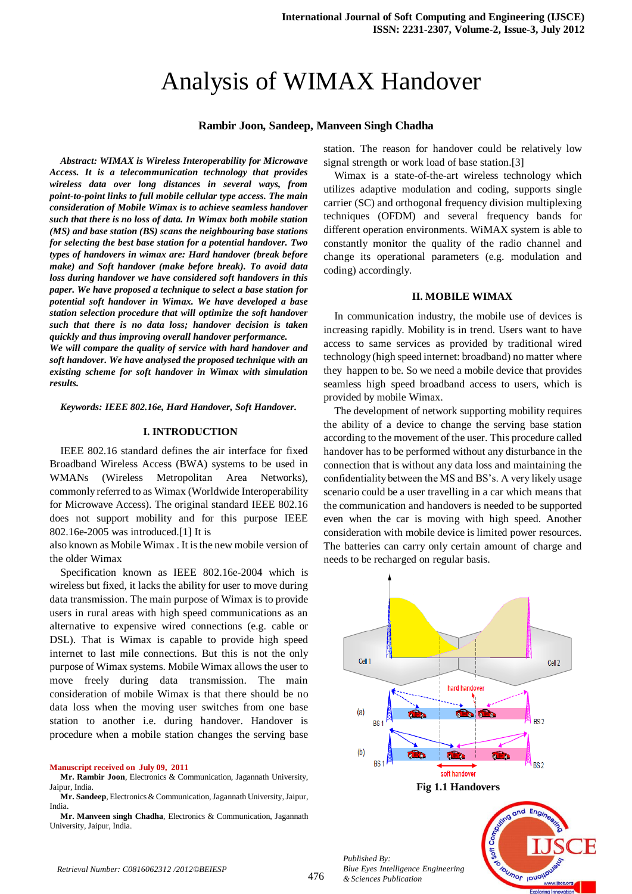# Analysis of WIMAX Handover

#### **Rambir Joon, Sandeep, Manveen Singh Chadha**

*Abstract: WIMAX is Wireless Interoperability for Microwave Access. It is a telecommunication technology that provides wireless data over long distances in several ways, from point-to-point links to full mobile cellular type access. The main consideration of Mobile Wimax is to achieve seamless handover such that there is no loss of data. In Wimax both mobile station (MS) and base station (BS) scans the neighbouring base stations for selecting the best base station for a potential handover. Two types of handovers in wimax are: Hard handover (break before make) and Soft handover (make before break). To avoid data loss during handover we have considered soft handovers in this paper. We have proposed a technique to select a base station for potential soft handover in Wimax. We have developed a base station selection procedure that will optimize the soft handover such that there is no data loss; handover decision is taken quickly and thus improving overall handover performance.* 

*We will compare the quality of service with hard handover and soft handover. We have analysed the proposed technique with an existing scheme for soft handover in Wimax with simulation results.*

*Keywords: IEEE 802.16e, Hard Handover, Soft Handover.*

#### **I. INTRODUCTION**

IEEE 802.16 standard defines the air interface for fixed Broadband Wireless Access (BWA) systems to be used in WMANs (Wireless Metropolitan Area Networks), commonly referred to as Wimax (Worldwide Interoperability for Microwave Access). The original standard IEEE 802.16 does not support mobility and for this purpose IEEE 802.16e-2005 was introduced.[1] It is

also known as Mobile Wimax . It is the new mobile version of the older Wimax

Specification known as IEEE 802.16e-2004 which is wireless but fixed, it lacks the ability for user to move during data transmission. The main purpose of Wimax is to provide users in rural areas with high speed communications as an alternative to expensive wired connections (e.g. cable or DSL). That is Wimax is capable to provide high speed internet to last mile connections. But this is not the only purpose of Wimax systems. Mobile Wimax allows the user to move freely during data transmission. The main consideration of mobile Wimax is that there should be no data loss when the moving user switches from one base station to another i.e. during handover. Handover is procedure when a mobile station changes the serving base

**Manuscript received on July 09, 2011**

station. The reason for handover could be relatively low signal strength or work load of base station.[3]

Wimax is a state-of-the-art wireless technology which utilizes adaptive modulation and coding, supports single carrier (SC) and orthogonal frequency division multiplexing techniques (OFDM) and several frequency bands for different operation environments. WiMAX system is able to constantly monitor the quality of the radio channel and change its operational parameters (e.g. modulation and coding) accordingly.

## **II. MOBILE WIMAX**

In communication industry, the mobile use of devices is increasing rapidly. Mobility is in trend. Users want to have access to same services as provided by traditional wired technology (high speed internet: broadband) no matter where they happen to be. So we need a mobile device that provides seamless high speed broadband access to users, which is provided by mobile Wimax.

The development of network supporting mobility requires the ability of a device to change the serving base station according to the movement of the user. This procedure called handover has to be performed without any disturbance in the connection that is without any data loss and maintaining the confidentiality between the MS and BS's. A very likely usage scenario could be a user travelling in a car which means that the communication and handovers is needed to be supported even when the car is moving with high speed. Another consideration with mobile device is limited power resources. The batteries can carry only certain amount of charge and needs to be recharged on regular basis.



**Mr. Rambir Joon**, Electronics & Communication, Jagannath University, Jaipur, India.

**Mr. Sandeep**, Electronics & Communication, Jagannath University, Jaipur, India.

**Mr. Manveen singh Chadha**, Electronics & Communication, Jagannath University, Jaipur, India.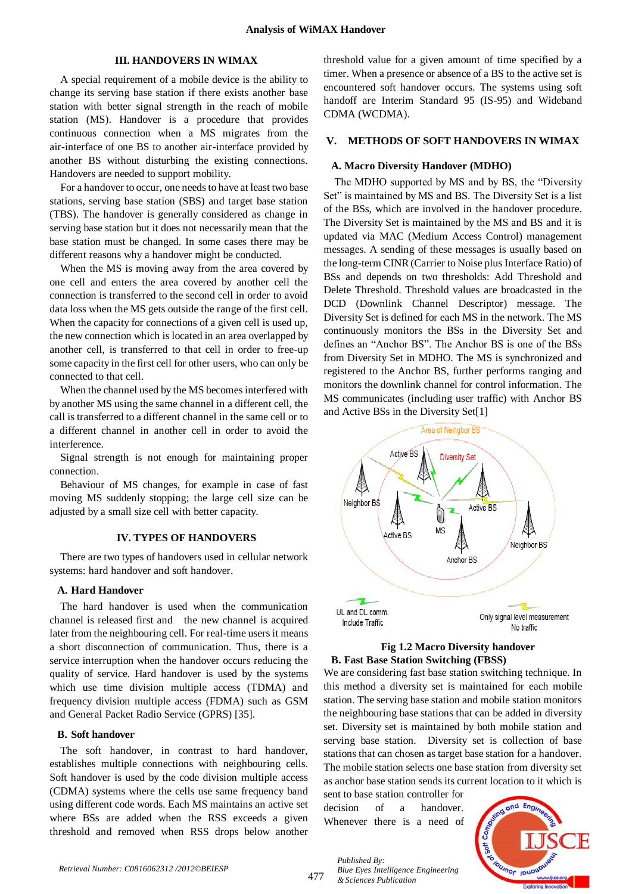# **III. HANDOVERS IN WIMAX**

A special requirement of a mobile device is the ability to change its serving base station if there exists another base station with better signal strength in the reach of mobile station (MS). Handover is a procedure that provides continuous connection when a MS migrates from the air-interface of one BS to another air-interface provided by another BS without disturbing the existing connections. Handovers are needed to support mobility.

For a handover to occur, one needs to have at least two base stations, serving base station (SBS) and target base station (TBS). The handover is generally considered as change in serving base station but it does not necessarily mean that the base station must be changed. In some cases there may be different reasons why a handover might be conducted.

When the MS is moving away from the area covered by one cell and enters the area covered by another cell the connection is transferred to the second cell in order to avoid data loss when the MS gets outside the range of the first cell. When the capacity for connections of a given cell is used up, the new connection which is located in an area overlapped by another cell, is transferred to that cell in order to free-up some capacity in the first cell for other users, who can only be connected to that cell.

When the channel used by the MS becomes interfered with by another MS using the same channel in a different cell, the call is transferred to a different channel in the same cell or to a different channel in another cell in order to avoid the interference.

Signal strength is not enough for maintaining proper connection.

Behaviour of MS changes, for example in case of fast moving MS suddenly stopping; the large cell size can be adjusted by a small size cell with better capacity.

### **IV. TYPES OF HANDOVERS**

There are two types of handovers used in cellular network systems: hard handover and soft handover.

#### **A. Hard Handover**

The hard handover is used when the communication channel is released first and the new channel is acquired later from the neighbouring cell. For real-time users it means a short disconnection of communication. Thus, there is a service interruption when the handover occurs reducing the quality of service. Hard handover is used by the systems which use time division multiple access (TDMA) and frequency division multiple access (FDMA) such as GSM and General Packet Radio Service (GPRS) [35].

#### **B. Soft handover**

The soft handover, in contrast to hard handover, establishes multiple connections with neighbouring cells. Soft handover is used by the code division multiple access (CDMA) systems where the cells use same frequency band using different code words. Each MS maintains an active set where BSs are added when the RSS exceeds a given threshold and removed when RSS drops below another

threshold value for a given amount of time specified by a timer. When a presence or absence of a BS to the active set is encountered soft handover occurs. The systems using soft handoff are Interim Standard 95 (IS-95) and Wideband CDMA (WCDMA).

### **V. METHODS OF SOFT HANDOVERS IN WIMAX**

#### **A. Macro Diversity Handover (MDHO)**

The MDHO supported by MS and by BS, the "Diversity Set" is maintained by MS and BS. The Diversity Set is a list of the BSs, which are involved in the handover procedure. The Diversity Set is maintained by the MS and BS and it is updated via MAC (Medium Access Control) management messages. A sending of these messages is usually based on the long-term CINR (Carrier to Noise plus Interface Ratio) of BSs and depends on two thresholds: Add Threshold and Delete Threshold. Threshold values are broadcasted in the DCD (Downlink Channel Descriptor) message. The Diversity Set is defined for each MS in the network. The MS continuously monitors the BSs in the Diversity Set and defines an "Anchor BS". The Anchor BS is one of the BSs from Diversity Set in MDHO. The MS is synchronized and registered to the Anchor BS, further performs ranging and monitors the downlink channel for control information. The MS communicates (including user traffic) with Anchor BS and Active BSs in the Diversity Set[1]



## **Fig 1.2 Macro Diversity handover B. Fast Base Station Switching (FBSS)**

We are considering fast base station switching technique. In this method a diversity set is maintained for each mobile station. The serving base station and mobile station monitors the neighbouring base stations that can be added in diversity set. Diversity set is maintained by both mobile station and serving base station. Diversity set is collection of base stations that can chosen as target base station for a handover. The mobile station selects one base station from diversity set as anchor base station sends its current location to it which is

sent to base station controller for decision of a handover Whenever there is a need of

*Blue Eyes Intelligence Engineering* 

*Published By:*

*& Sciences Publication* 

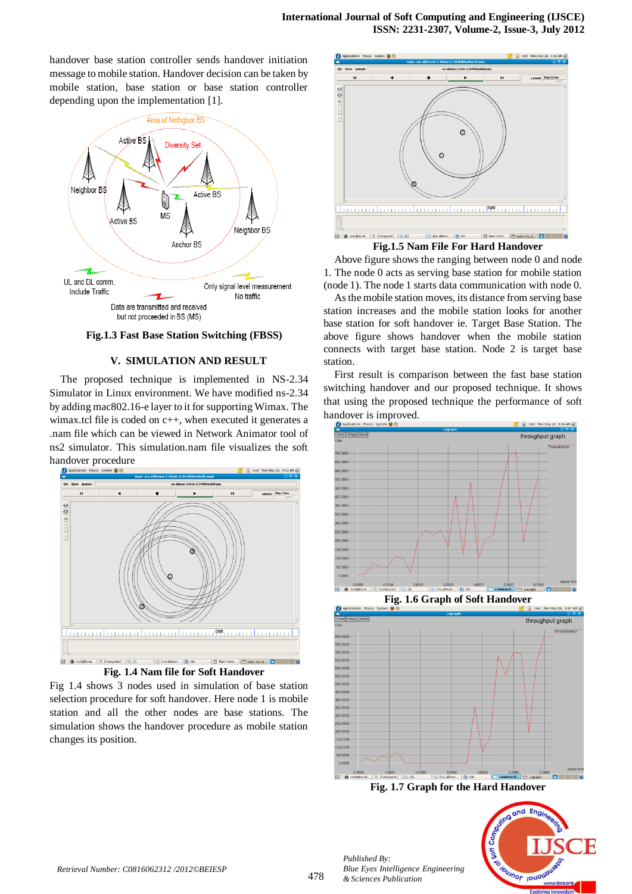# **International Journal of Soft Computing and Engineering (IJSCE) ISSN: 2231-2307, Volume-2, Issue-3, July 2012**

handover base station controller sends handover initiation message to mobile station. Handover decision can be taken by mobile station, base station or base station controller depending upon the implementation [1].



**Fig.1.3 Fast Base Station Switching (FBSS)**

# **V. SIMULATION AND RESULT**

The proposed technique is implemented in NS-2.34 Simulator in Linux environment. We have modified ns-2.34 by adding mac802.16-e layer to it for supporting Wimax. The wimax.tcl file is coded on c++, when executed it generates a .nam file which can be viewed in Network Animator tool of ns2 simulator. This simulation.nam file visualizes the soft



Fig 1.4 shows 3 nodes used in simulation of base station selection procedure for soft handover. Here node 1 is mobile station and all the other nodes are base stations. The simulation shows the handover procedure as mobile station changes its position.



**Fig.1.5 Nam File For Hard Handover**

Above figure shows the ranging between node 0 and node 1. The node 0 acts as serving base station for mobile station (node 1). The node 1 starts data communication with node 0.

As the mobile station moves, its distance from serving base station increases and the mobile station looks for another base station for soft handover ie. Target Base Station. The above figure shows handover when the mobile station connects with target base station. Node 2 is target base station.

First result is comparison between the fast base station switching handover and our proposed technique. It shows that using the proposed technique the performance of soft handover is improved.





**Fig. 1.7 Graph for the Hard Handover**



*Published By:*

*& Sciences Publication* 

*Blue Eyes Intelligence Engineering*